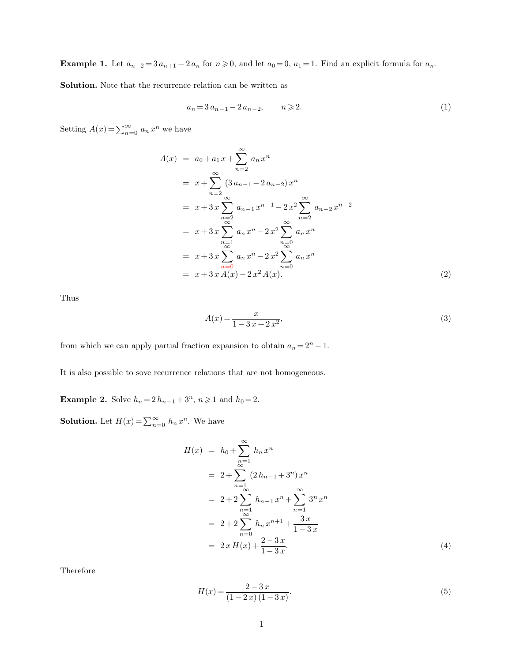**Example 1.** Let  $a_{n+2} = 3 a_{n+1} - 2 a_n$  for  $n \ge 0$ , and let  $a_0 = 0$ ,  $a_1 = 1$ . Find an explicit formula for  $a_n$ .<br>**Solution**. Note that the recurrence relation can be written as

$$
2 a_n
$$
 for  $n \ge 0$ , and let  $a_0 = 0$ ,  $a_1 = 1$ . Find an explicit formula for  $a_n$ .  
the relation can be written as  
 $a_n = 3 a_{n-1} - 2 a_{n-2}$ ,  $n \ge 2$ . (1)

Setting  $A(x) = \sum_{n=0}^{\infty} a_n x^n$  we have recurrence relation<br> $a_n = 3 a_n$ <br>*n* we have

$$
A(x) = a_0 + a_1 x + \sum_{n=2}^{\infty} a_n x^n
$$
  
=  $x + \sum_{n=2}^{\infty} (3 a_{n-1} - 2 a_{n-2}) x^n$   
=  $x + 3x \sum_{\substack{n=2 \ n \text{odd } n}}^{\infty} a_{n-1} x^{n-1} - 2x^2 \sum_{n=2}^{\infty} a_{n-2} x^{n-2}$   
=  $x + 3x \sum_{\substack{n=1 \ n \text{odd } n}}^{\infty} a_n x^n - 2x^2 \sum_{\substack{n=0 \ n \text{odd } n}}^{\infty} a_n x^n$   
=  $x + 3x \sum_{\substack{n=0 \ n \text{odd } n}}^{\infty} a_n x^n - 2x^2 \sum_{n=0}^{\infty} a_n x^n$   
=  $x + 3x A(x) - 2x^2 A(x)$ . (2)

Thus

Thus  
\n
$$
A(x) = \frac{x}{1 - 3x + 2x^2},
$$
\n(3)  
\nfrom which we can apply partial fraction expansion to obtain  $a_n = 2^n - 1$ .

If  $1-3x+2x^2$ <br>from which we can apply partial fraction expansion to obtain  $a_n = 2^n - 1$ .<br>It is also possible to sove recurrence relations that are not homogeneous.

It is also possible to sove recurrence relations that are not homog<br> **Example 2.** Solve  $h_n = 2 h_{n-1} + 3^n$ ,  $n \ge 1$  and  $h_0 = 2$ .<br> **Solution.** Let  $H(x) = \sum_{n=0}^{\infty} h_n x^n$ . We have ice relations that a<br> $3^n$ ,  $n \ge 1$  and  $h_0 =$ <br> $n$ . We have

**Solution.** Let  $H(x) = \sum_{n=0}^{\infty} h_n x^n$ . We have

$$
H(x) = h_0 + \sum_{n=1}^{\infty} h_n x^n
$$
  
=  $2 + \sum_{n=1}^{\infty} (2h_{n-1} + 3^n) x^n$   
=  $2 + 2 \sum_{n=1}^{\infty} h_{n-1} x^n + \sum_{n=1}^{\infty} 3^n x^n$   
=  $2 + 2 \sum_{n=0}^{\infty} h_n x^{n+1} + \frac{3 x}{1 - 3 x}$   
=  $2 x H(x) + \frac{2 - 3 x}{1 - 3 x}.$  (4)

Therefore

$$
H(x) = \frac{2 - 3x}{(1 - 2x)(1 - 3x)}.\t(5)
$$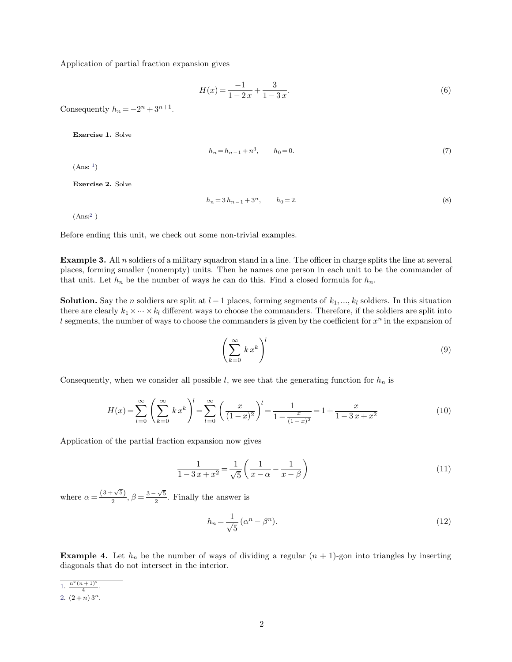Application of partial fraction expansion gives fraction expans<br> $n + 3^{n+1}$ .

$$
H(x) = \frac{-1}{1 - 2x} + \frac{3}{1 - 3x}.\tag{6}
$$

Consequently  $h_n = -2^n + 3^{n+1}$ .

**Exercise 1.** Solve

$$
h_n = h_{n-1} + n^3, \qquad h_0 = 0.
$$
 (7)

<span id="page-1-0"></span> $(Ans: 1)$ 

**Exercise 2.** Solve

$$
h_n = 3h_{n-1} + 3^n, \t h_0 = 2.
$$
\t(8)

<span id="page-1-1"></span> $(Ans: 2)$ 

Before ending this unit, we check out some non-trivial examples.

**Example 3.** All *n* soldiers of a military squadron stand in a line. The officer in charge splits the line at several places, forming smaller (nonempty) units. Then he names one person in each unit to be the commander of Before ending this unit, we check out some non-trivial examples.<br> **Example 3.** All *n* soldiers of a military squadron stand in a line. The officer in charge splits the line at several places, forming smaller (nonempty) u Before ending this unit, we check out some non-trivial examples.<br> **Example 3.** All *n* soldiers of a military squadron stand in a line. The officer in charge splits the line at several<br>
places, forming smaller (nonempty)

**Example 3.** All *n* soldies places, forming smaller (<br>that unit. Let  $h_n$  be the<br>**Solution.** Say the *n* sold<br>there are clearly  $k_1 \times \cdots \times l$  segments, the number of soldiers are split  $\cdots \times k_l$  different were of ways to choos *k* of a military squadron stand in a line. The omcer in charge splits the line at several ionempty) units. Then he names one person in each unit to be the commander of number of ways he can do this. Find a closed formula places, forming smaller (nonempty) units. Then he hames one person in each unit to be the con<br>that unit. Let  $h_n$  be the number of ways he can do this. Find a closed formula for  $h_n$ .<br>**Solution**. Say the *n* soldiers are Free the commander of<br>ers. In this situation<br>soldiers are split into<br> $n$  in the expansion of there are clearly  $k_1 \times \cdots \times k_l$  different ways to choose the commanders. Therefore, if the soldiers are split into *l* segments, the number of ways to choose the commanders is given by the coefficient for  $x^n$  in the exp

$$
\left(\sum_{k=0}^{\infty} k x^{k}\right)^{l}
$$
  
Consequently, when we consider all possible l, we see that the generating function for  $h_n$  is

Consequently, when we consider all possible *l*, we see that the generating function for 
$$
h_n
$$
 is\n
$$
H(x) = \sum_{l=0}^{\infty} \left( \sum_{k=0}^{\infty} k x^k \right)^l = \sum_{l=0}^{\infty} \left( \frac{x}{(1-x)^2} \right)^l = \frac{1}{1 - \frac{x}{(1-x)^2}} = 1 + \frac{x}{1 - 3x + x^2}
$$
\nApplication of the partial fraction expansion now gives

$$
\frac{1}{1-3x+x^2} = \frac{1}{\sqrt{5}} \left( \frac{1}{x-\alpha} - \frac{1}{x-\beta} \right)
$$
\n(11)\n  
\nFinally the answer is

where  $\alpha = \frac{(3+\sqrt{5})}{2}, \beta = \frac{3-\sqrt{5}}{2}$  $\overline{1-}$ ,  $\beta = \frac{3-\sqrt{5}}{2}$ . Final  $rac{3-\sqrt{5}}{2}$ . Finally

$$
h_n = \frac{1}{\sqrt{5}} \left( \alpha^n - \beta^n \right). \tag{12}
$$

**Example 4.** Let  $h_n$  be the number of ways of dividing a regular  $(n + 1)$ -gon into triangles by inserting diagonals that do not intersect in the interior. **Example 4.** Let  $h_n$  be the number of ways of diagonals that do not intersect in the interior. **Example 4.** Le diagonals that do<br> $\frac{n^2(n+1)^2}{1 \cdot \frac{n^2(n+1)^2}{4}}$ <br>[2.](#page-1-1)  $(2+n) 3^n$ .

<sup>1.</sup>  $\frac{n^2(n+1)^2}{4}$ .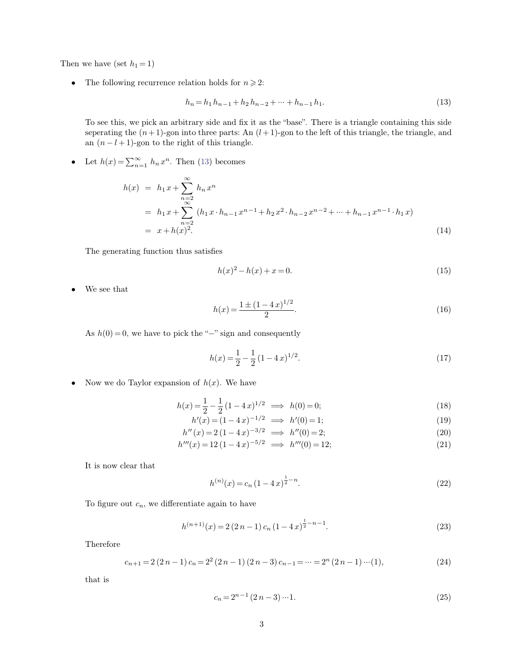Then we have (set 
$$
h_1 = 1
$$
)  
\n• The following recurrence relation holds for  $n \ge 2$ :  
\n
$$
h_n = h_1 h_{n-1} + h_2 h_{n-2} + \dots + h_{n-1} h_1.
$$
\n(13)

The following recurrence relation holds for  $n \geq 2$ :<br>  $h_n = h_1 h_{n-1} + h_2 h_{n-2} + \dots + h_{n-1} h_1.$  (13)<br>
To see this, we pick an arbitrary side and fix it as the "base". There is a triangle containing this side<br>
seperating the The following recurrence relation holds for  $n \ge 2$ :<br>  $h_n = h_1 h_{n-1} + h_2 h_{n-2} + \dots + h_{n-1} h_1.$  (13)<br>
To see this, we pick an arbitrary side and fix it as the "base". There is a triangle containing this side<br>
seperating the 10 see this, we pick an arbitrary side and fix it as<br>seperating the  $(n+1)$ -gon into three parts: An  $(l +$ <br>an  $(n-l+1)$ -gon to the right of this triangle.<br>Let  $h(x) = \sum_{n=1}^{\infty} h_n x^n$ . Then (13) becomes *n*arbitrary side and fix it as<br>gon into three parts: An  $(l +$ <br>he right of this triangle.<br><sup>*n*</sup>. Then [\(13\)](#page-2-0) becomes

$$
h(x) = h_1 x + \sum_{\substack{n=2 \ n \ge 2}}^{\infty} h_n x^n
$$
  
\n
$$
= h_1 x + \sum_{\substack{n=2 \ n \ge 2}}^{\infty} (h_1 x \cdot h_{n-1} x^{n-1} + h_2 x^2 \cdot h_{n-2} x^{n-2} + \dots + h_{n-1} x^{n-1} \cdot h_1 x)
$$
  
\n
$$
= x + h(x)^2.
$$
 (14)  
\nThe generating function thus satisfies  
\n
$$
h(x)^2 - h(x) + x = 0.
$$
 (15)  
\nWe see that  
\n
$$
1 + (1 - 4x)^{1/2}
$$

The generating function thus satisfies

<span id="page-2-0"></span>
$$
h(x)^2 - h(x) + x = 0.\t(15)
$$

$$
h(x) = \frac{1 \pm (1 - 4x)^{1/2}}{2}.
$$
\n(16)

We see that  $h(x)=\frac{1\pm(1-4\,x)^{1/2}}{2}.$  As  $h(0)=0,$  <br>we have to pick the "–" sign and consequently

$$
h(x) = \frac{1}{2} - \frac{1}{2} (1 - 4 x)^{1/2}.
$$
 (17)

 $h(x) = \frac{1}{2} - \frac{1}{2}$ <br>• Now we do Taylor expansion of  $h(x)$ . We have

$$
h(x) = \frac{1}{2} - \frac{1}{2}(1 - 4x)^{1/2}.
$$
\n(17)

\nusion of  $h(x)$ . We have

\n
$$
h(x) = \frac{1}{2} - \frac{1}{2}(1 - 4x)^{1/2} \implies h(0) = 0;
$$
\n
$$
h'(x) = (1 - 4x)^{-1/2} \implies h'(0) = 1;
$$
\n
$$
h''(x) = 2(1 - 4x)^{-3/2} \implies h''(0) = 2;
$$
\n
$$
h'''(x) = 12(1 - 4x)^{-5/2} \implies h'''(0) = 12;
$$
\n(20)

$$
h'(x) = (1 - 4x)^{-1/2} \implies h'(0) = 1;
$$
\n(19)

$$
h''(x) = 2(1 - 4x)^{-3/2} \implies h''(0) = 2;
$$
\n(20)

$$
h'''(x) = 12\left(1 - 4x\right)^{-5/2} \implies h'''(0) = 12;\tag{21}
$$

It is now clear that

$$
h^{(n)}(x) = c_n \left(1 - 4x\right)^{\frac{1}{2} - n}.\tag{22}
$$

It is now clear that  $h^{(n)}(x)=c_n\,(\label{eq:1.1}$  To figure out<br>  $c_n,$  we differentiate again to have

$$
h^{(n)}(x) = c_n (1 - 4x)^{\frac{1}{2} - n}.
$$
\n(22)

\nentiate again to have

\n
$$
h^{(n+1)}(x) = 2 (2n - 1) c_n (1 - 4x)^{\frac{1}{2} - n - 1}.
$$
\n(23)

\n(24)

\n
$$
c_n = 2^2 (2n - 1) (2n - 3) c_{n-1} = \dots = 2^n (2n - 1) \dotsm (1),
$$

Therefore Therefore  $c_{n+}$ <br>that is

$$
h^{(n+1)}(x) = 2(2n - 1)c_n (1 - 4x)^{\frac{1}{2} - n - 1}.
$$
\n
$$
c_{n+1} = 2(2n - 1)c_n = 2^2(2n - 1)(2n - 3)c_{n-1} = \dots = 2^n(2n - 1)\dots(1),
$$
\n
$$
c_n = 2^{n-1}(2n - 3)\dots 1.
$$
\n(25)

$$
c_n = 2^{n-1} (2n-3) \cdots 1.
$$
 (25)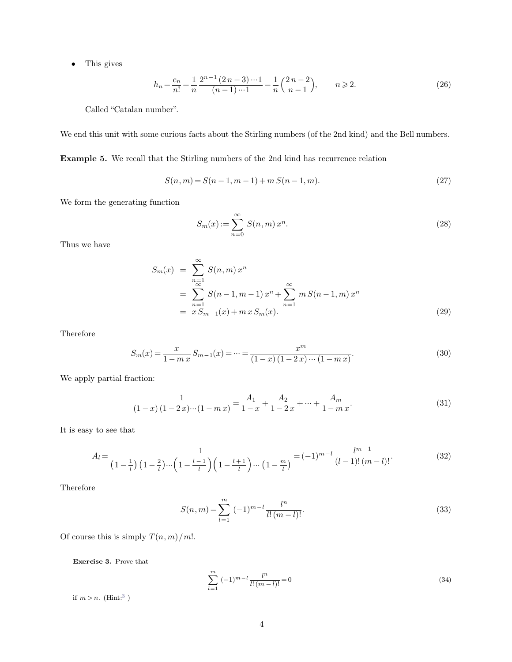• This gives

\n- This gives\n 
$$
h_n = \frac{c_n}{n!} = \frac{1}{n} \frac{2^{n-1} (2n-3) \cdots 1}{(n-1) \cdots 1} = \frac{1}{n} {2n-2 \choose n-1}, \quad n \ge 2.
$$
\n (26)
\n- Called "Catalan number".\n We end this unit with some curious facts about the Stirling numbers (of the 2nd kind) and the Bell numbers.
\n

This gives  $h_n\!=\!\frac{c_r}{n!}$  Called "Catalan number".

**Example 5.** We recall that the Stirling numbers (of the 2nd kind) and the Bell network with some curious facts about the Stirling numbers (of the 2nd kind) and the Bell network of the 2nd kind has recurrence relation

Example 5. We recall that the Stirling numbers of the 2nd kind has recurrence relation

urious facts about the Stirling numbers (of the 2nd kind) and the Bell numbers.  
the Stirling numbers of the 2nd kind has recurrence relation  

$$
S(n,m) = S(n-1,m-1) + m S(n-1,m).
$$
 (27)

We form the generating function  $$\tt$  Thus we have

$$
= S(n-1, m-1) + m S(n-1, m).
$$
\n(27)\n
$$
S_m(x) := \sum_{n=0}^{\infty} S(n, m) x^n.
$$
\n(28)

$$
S_m(x) := \sum_{n=0}^{\infty} S(n,m) x^n.
$$
\n
$$
S_m(x) = \sum_{\substack{n=1 \ \infty}}^{\infty} S(n,m) x^n
$$
\n
$$
= \sum_{n=1}^{\infty} S(n-1, m-1) x^n + \sum_{n=1}^{\infty} m S(n-1, m) x^n
$$
\n
$$
= x S_{m-1}(x) + m x S_m(x).
$$
\n(29)

Therefore

$$
= x S_{m-1}(x) + m x S_m(x).
$$
\n(29)  
\n
$$
S_m(x) = \frac{x}{1 - mx} S_{m-1}(x) = \dots = \frac{x^m}{(1 - x)(1 - 2x) \cdots (1 - mx)}.
$$
\n(30)

We apply partial fraction:

$$
(1 - x)(1 - 2x) \cdots (1 - mx)
$$
  
\naction:  
\n
$$
\frac{1}{(1 - x)(1 - 2x) \cdots (1 - mx)} = \frac{A_1}{1 - x} + \frac{A_2}{1 - 2x} + \cdots + \frac{A_m}{1 - mx}.
$$
\n(31)

 $\frac{\overline{1}}{\overline{1}}$  <br> It is easy to see that

$$
A_{l} = \frac{1}{\left(1 - \frac{1}{l}\right)\left(1 - \frac{2}{l}\right)\cdots\left(1 - \frac{l-1}{l}\right)\left(1 - \frac{l+1}{l}\right)\cdots\left(1 - \frac{m}{l}\right)}} = (-1)^{m-l} \frac{l^{m-1}}{(l-1)!(m-l)!}.
$$
\n
$$
e
$$
\n
$$
S(n,m) = \sum_{l=1}^{m} (-1)^{m-l} \frac{l^{n}}{l!(m-l)!}.
$$
\n(33)

Therefore

<span id="page-3-2"></span>
$$
1 - \frac{l-1}{l} \left( 1 - \frac{l+1}{l} \right) \cdots \left( 1 - \frac{m}{l} \right) \qquad (l-1)!(m-l)!
$$
  

$$
S(n,m) = \sum_{l=1}^{m} (-1)^{m-l} \frac{l^n}{l!(m-l)!}.
$$
 (33)

Therefore  $S(n,m)\colon$  <br> Of course this is simply  $T(n,m)/m! .$ **Exercise 3.** Prove that

**Exercise 3.** Prove that if  $m > n$ . (Hint:<sup>3</sup>)

<span id="page-3-1"></span>
$$
\sum_{l=1}^{m} (-1)^{m-l} \frac{l^n}{l!(m-l)!} = 0
$$
\n(34)

<span id="page-3-0"></span>